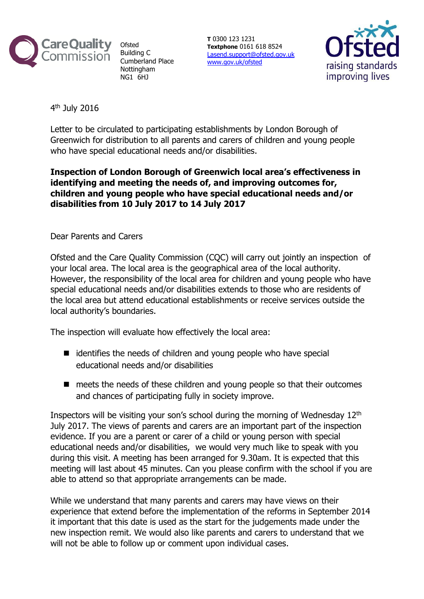

**Ofsted** Building C Cumberland Place **Nottingham** NG1 6HJ

**T** 0300 123 1231 **Textphone** 0161 618 8524 [Lasend.support@ofsted.gov.uk](mailto:Lasend.support@ofsted.gov.uk) [www.gov.uk/ofsted](http://www.ofsted.gov.uk/)



4<sup>th</sup> July 2016

Letter to be circulated to participating establishments by London Borough of Greenwich for distribution to all parents and carers of children and young people who have special educational needs and/or disabilities.

## **Inspection of London Borough of Greenwich local area's effectiveness in identifying and meeting the needs of, and improving outcomes for, children and young people who have special educational needs and/or disabilities from 10 July 2017 to 14 July 2017**

Dear Parents and Carers

Ofsted and the Care Quality Commission (CQC) will carry out jointly an inspection of your local area. The local area is the geographical area of the local authority. However, the responsibility of the local area for children and young people who have special educational needs and/or disabilities extends to those who are residents of the local area but attend educational establishments or receive services outside the local authority's boundaries.

The inspection will evaluate how effectively the local area:

- $\blacksquare$  identifies the needs of children and young people who have special educational needs and/or disabilities
- meets the needs of these children and young people so that their outcomes and chances of participating fully in society improve.

Inspectors will be visiting your son's school during the morning of Wednesday 12th July 2017. The views of parents and carers are an important part of the inspection evidence. If you are a parent or carer of a child or young person with special educational needs and/or disabilities, we would very much like to speak with you during this visit. A meeting has been arranged for 9.30am. It is expected that this meeting will last about 45 minutes. Can you please confirm with the school if you are able to attend so that appropriate arrangements can be made.

While we understand that many parents and carers may have views on their experience that extend before the implementation of the reforms in September 2014 it important that this date is used as the start for the judgements made under the new inspection remit. We would also like parents and carers to understand that we will not be able to follow up or comment upon individual cases.